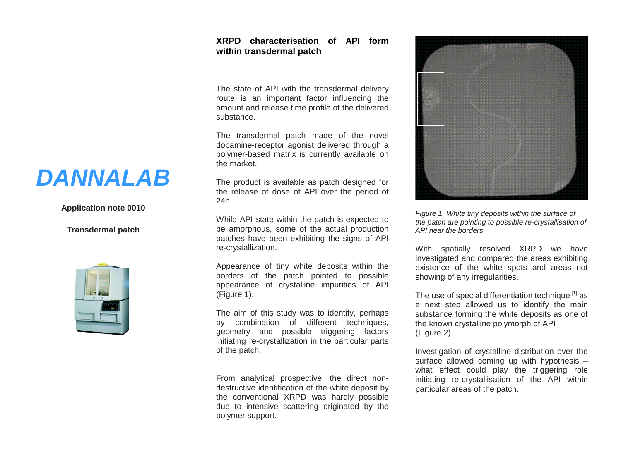## **XRPD characterisation of API form within transdermal patch**

The state of API with the transdermal delivery route is an important factor influencing the amount and release time profile of the delivered substance.

The transdermal patch made of the novel dopamine-receptor agonist delivered through a polymer-based matrix is currently available on the market.

The product is available as patch designed for the release of dose of API over the period of 24h.

While API state within the patch is expected to be amorphous, some of the actual production patches have been exhibiting the signs of API re-crystallization.

Appearance of tiny white deposits within the borders of the patch pointed to possible appearance of crystalline impurities of API (Figure 1).

The aim of this study was to identify, perhaps by combination of different techniques, geometry and possible triggering factors initiating re-crystallization in the particular parts of the patch.

From analytical prospective, the direct nondestructive identification of the white deposit by the conventional XRPD was hardly possible due to intensive scattering originated by the polymer support.



*Figure 1. White tiny deposits within the surface of the patch are pointing to possible re-crystallisation of API near the borders*

With spatially resolved XRPD we have investigated and compared the areas exhibiting existence of the white spots and areas not showing of any irregularities.

The use of special differentiation technique<sup>[1]</sup> as a next step allowed us to identify the main substance forming the white deposits as one of the known crystalline polymorph of API (Figure 2).

Investigation of crystalline distribution over the surface allowed coming up with hypothesis – what effect could play the triggering role initiating re-crystallisation of the API within particular areas of the patch.

## *DANNALAB*

## **Application note 0010**

**Transdermal patch**